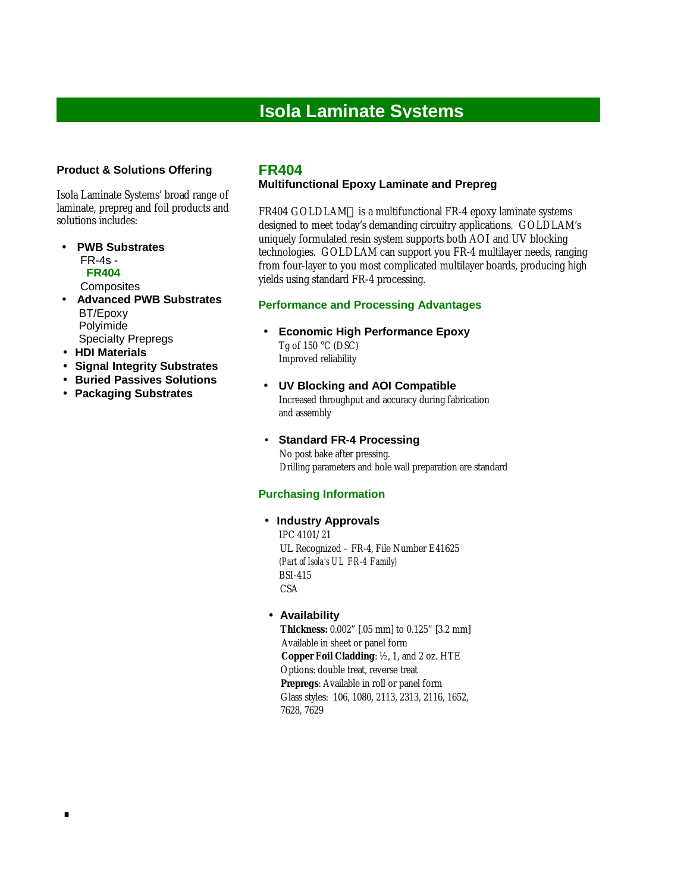# **Isola Laminate Systems**

### **Product & Solutions Offering**

Isola Laminate Systems' broad range of laminate, prepreg and foil products and solutions includes:

• **PWB Substrates** FR-4s - **FR404**

**Composites** 

- **Advanced PWB Substrates** BT/Epoxy Polyimide Specialty Prepregs
- • **HDI Materials**

.

- • **Signal Integrity Substrates**
- • **Buried Passives Solutions**
- • **Packaging Substrates**

## **FR404**

#### **Multifunctional Epoxy Laminate and Prepreg**

FR404 GOLDLAM™ is a multifunctional FR-4 epoxy laminate systems designed to meet today's demanding circuitry applications. GOLDLAM's uniquely formulated resin system supports both AOI and UV blocking technologies. GOLDLAM can support you FR-4 multilayer needs, ranging from four-layer to you most complicated multilayer boards, producing high yields using standard FR-4 processing.

#### **Performance and Processing Advantages**

- **Economic High Performance Epoxy** Tg of 150 °C (DSC) Improved reliability
- **UV Blocking and AOI Compatible** Increased throughput and accuracy during fabrication and assembly
- **Standard FR-4 Processing** No post bake after pressing. Drilling parameters and hole wall preparation are standard

#### **Purchasing Information**

#### • **Industry Approvals**

 IPC 4101/21 UL Recognized – FR-4, File Number E41625  *(Part of Isola's UL FR-4 Family)* BSI-415 **CSA** 

#### • **Availability**

 **Thickness:** 0.002" [.05 mm] to 0.125" [3.2 mm] Available in sheet or panel form **Copper Foil Cladding**: ½ , 1, and 2 oz. HTE Options: double treat, reverse treat  **Prepregs**: Available in roll or panel form Glass styles: 106, 1080, 2113, 2313, 2116, 1652, 7628, 7629